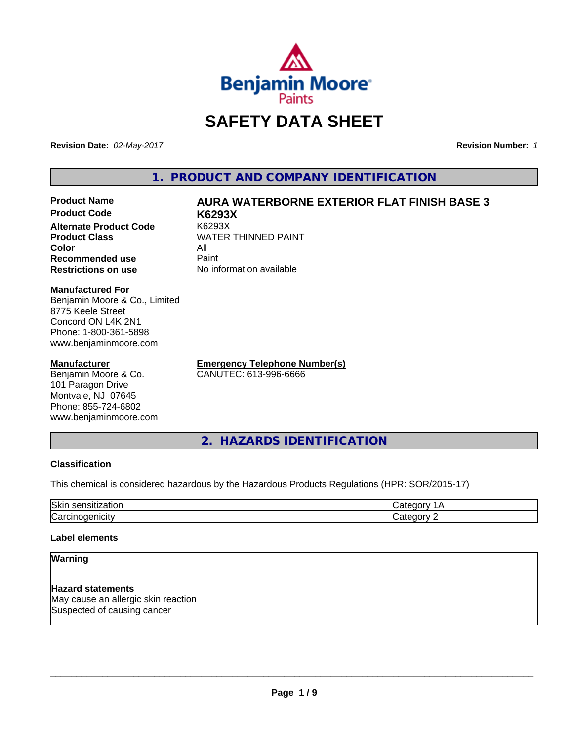

# **SAFETY DATA SHEET**

**Revision Date:** *02-May-2017* **Revision Number:** *1*

**1. PRODUCT AND COMPANY IDENTIFICATION**

## **Product Name AURA WATERBORNE EXTERIOR FLAT FINISH BASE 3**

**Product Code K6293X Alternate Product Code Product Class** WATER THINNED PAINT<br>
Color **Color** All **Recommended use** Paint **Restrictions on use** No information available

**Manufactured For** Benjamin Moore & Co., Limited 8775 Keele Street Concord ON L4K 2N1 Phone: 1-800-361-5898 www.benjaminmoore.com

## **Manufacturer**

Benjamin Moore & Co. 101 Paragon Drive Montvale, NJ 07645 Phone: 855-724-6802 www.benjaminmoore.com **Emergency Telephone Number(s)** CANUTEC: 613-996-6666

**2. HAZARDS IDENTIFICATION**

## **Classification**

This chemical is considered hazardous by the Hazardous Products Regulations (HPR: SOR/2015-17)

| Skir<br>-<br>.     |  |
|--------------------|--|
| $\sim$<br>.<br>ιUα |  |

## **Label elements**

## **Warning**

**Hazard statements** May cause an allergic skin reaction Suspected of causing cancer

 $\overline{\phantom{a}}$  ,  $\overline{\phantom{a}}$  ,  $\overline{\phantom{a}}$  ,  $\overline{\phantom{a}}$  ,  $\overline{\phantom{a}}$  ,  $\overline{\phantom{a}}$  ,  $\overline{\phantom{a}}$  ,  $\overline{\phantom{a}}$  ,  $\overline{\phantom{a}}$  ,  $\overline{\phantom{a}}$  ,  $\overline{\phantom{a}}$  ,  $\overline{\phantom{a}}$  ,  $\overline{\phantom{a}}$  ,  $\overline{\phantom{a}}$  ,  $\overline{\phantom{a}}$  ,  $\overline{\phantom{a}}$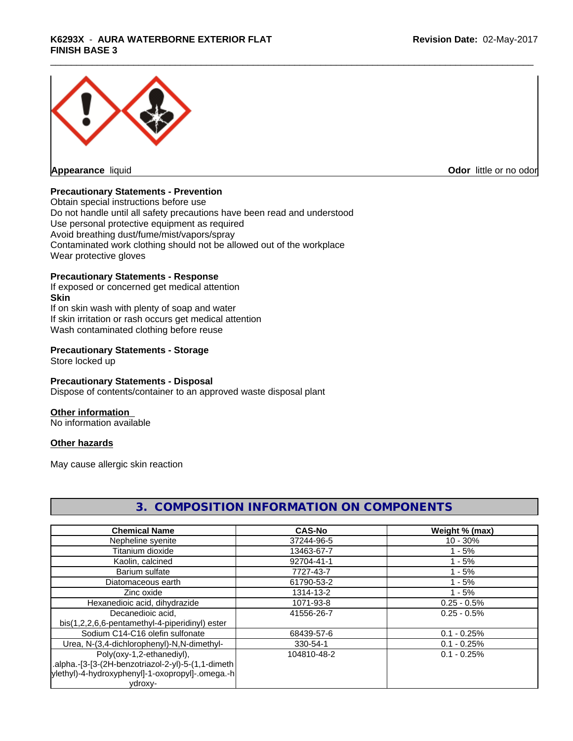## \_\_\_\_\_\_\_\_\_\_\_\_\_\_\_\_\_\_\_\_\_\_\_\_\_\_\_\_\_\_\_\_\_\_\_\_\_\_\_\_\_\_\_\_\_\_\_\_\_\_\_\_\_\_\_\_\_\_\_\_\_\_\_\_\_\_\_\_\_\_\_\_\_\_\_\_\_\_\_\_\_\_\_\_\_\_\_\_\_\_\_\_\_ **K6293X** - **AURA WATERBORNE EXTERIOR FLAT FINISH BASE 3**



**Appearance** liquid **Contract Contract Contract Contract Contract Contract Contract Contract Contract Contract Contract Contract Contract Contract Contract Contract Contract Contract Contract Contract Contract Contract Con** 

## **Precautionary Statements - Prevention**

Obtain special instructions before use Do not handle until all safety precautions have been read and understood Use personal protective equipment as required Avoid breathing dust/fume/mist/vapors/spray Contaminated work clothing should not be allowed out of the workplace Wear protective gloves

## **Precautionary Statements - Response**

If exposed or concerned get medical attention **Skin** If on skin wash with plenty of soap and water If skin irritation or rash occurs get medical attention Wash contaminated clothing before reuse

## **Precautionary Statements - Storage**

Store locked up

## **Precautionary Statements - Disposal**

Dispose of contents/container to an approved waste disposal plant

## **Other information**

No information available

## **Other hazards**

May cause allergic skin reaction

| <b>Chemical Name</b>                                | <b>CAS-No</b> | Weight % (max) |
|-----------------------------------------------------|---------------|----------------|
| Nepheline syenite                                   | 37244-96-5    | $10 - 30%$     |
| Titanium dioxide                                    | 13463-67-7    | $1 - 5%$       |
| Kaolin, calcined                                    | 92704-41-1    | $1 - 5%$       |
| Barium sulfate                                      | 7727-43-7     | $1 - 5%$       |
| Diatomaceous earth                                  | 61790-53-2    | $1 - 5%$       |
| Zinc oxide                                          | 1314-13-2     | $1 - 5%$       |
| Hexanedioic acid, dihydrazide                       | 1071-93-8     | $0.25 - 0.5%$  |
| Decanedioic acid,                                   | 41556-26-7    | $0.25 - 0.5%$  |
| bis(1,2,2,6,6-pentamethyl-4-piperidinyl) ester      |               |                |
| Sodium C14-C16 olefin sulfonate                     | 68439-57-6    | $0.1 - 0.25%$  |
| Urea, N-(3,4-dichlorophenyl)-N,N-dimethyl-          | 330-54-1      | $0.1 - 0.25%$  |
| Poly(oxy-1,2-ethanediyl),                           | 104810-48-2   | $0.1 - 0.25%$  |
| .alpha.-[3-[3-(2H-benzotriazol-2-yl)-5-(1,1-dimeth) |               |                |
| ylethyl)-4-hydroxyphenyl]-1-oxopropyl]-.omega.-h    |               |                |
| ydroxy-                                             |               |                |

## **3. COMPOSITION INFORMATION ON COMPONENTS**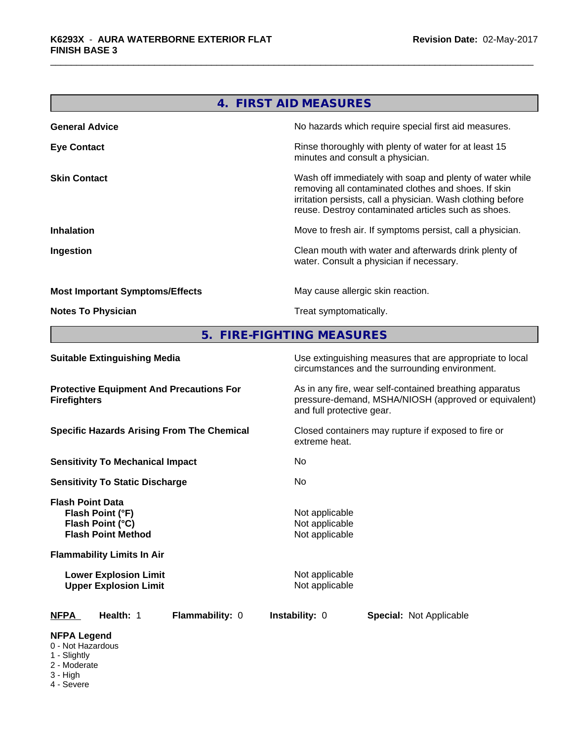|                                        | 4. FIRST AID MEASURES                                                                                                                                                                                                                  |
|----------------------------------------|----------------------------------------------------------------------------------------------------------------------------------------------------------------------------------------------------------------------------------------|
| <b>General Advice</b>                  | No hazards which require special first aid measures.                                                                                                                                                                                   |
| <b>Eye Contact</b>                     | Rinse thoroughly with plenty of water for at least 15<br>minutes and consult a physician.                                                                                                                                              |
| <b>Skin Contact</b>                    | Wash off immediately with soap and plenty of water while<br>removing all contaminated clothes and shoes. If skin<br>irritation persists, call a physician. Wash clothing before<br>reuse. Destroy contaminated articles such as shoes. |
| <b>Inhalation</b>                      | Move to fresh air. If symptoms persist, call a physician.                                                                                                                                                                              |
| Ingestion                              | Clean mouth with water and afterwards drink plenty of<br>water. Consult a physician if necessary.                                                                                                                                      |
| <b>Most Important Symptoms/Effects</b> | May cause allergic skin reaction.                                                                                                                                                                                                      |
| <b>Notes To Physician</b>              | Treat symptomatically.                                                                                                                                                                                                                 |

**5. FIRE-FIGHTING MEASURES**

| <b>Suitable Extinguishing Media</b>                                                                                               | Use extinguishing measures that are appropriate to local<br>circumstances and the surrounding environment.                                   |
|-----------------------------------------------------------------------------------------------------------------------------------|----------------------------------------------------------------------------------------------------------------------------------------------|
| <b>Protective Equipment And Precautions For</b><br><b>Firefighters</b>                                                            | As in any fire, wear self-contained breathing apparatus<br>pressure-demand, MSHA/NIOSH (approved or equivalent)<br>and full protective gear. |
| <b>Specific Hazards Arising From The Chemical</b>                                                                                 | Closed containers may rupture if exposed to fire or<br>extreme heat.                                                                         |
| <b>Sensitivity To Mechanical Impact</b>                                                                                           | No.                                                                                                                                          |
| <b>Sensitivity To Static Discharge</b>                                                                                            | No.                                                                                                                                          |
| <b>Flash Point Data</b><br>Flash Point (°F)<br>Flash Point (°C)<br><b>Flash Point Method</b><br><b>Flammability Limits In Air</b> | Not applicable<br>Not applicable<br>Not applicable                                                                                           |
| <b>Lower Explosion Limit</b><br><b>Upper Explosion Limit</b>                                                                      | Not applicable<br>Not applicable                                                                                                             |
| Flammability: 0<br><b>NFPA</b><br>Health: 1                                                                                       | <b>Instability: 0</b><br><b>Special: Not Applicable</b>                                                                                      |
| <b>NFPA Legend</b><br>0 - Not Hazardous<br>1 - Slightly<br>2 - Moderate                                                           |                                                                                                                                              |

- 3 High
- 4 Severe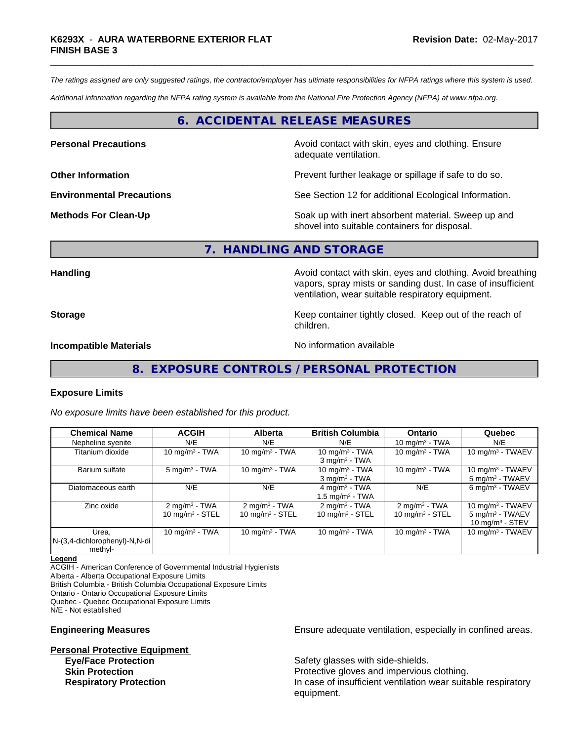*The ratings assigned are only suggested ratings, the contractor/employer has ultimate responsibilities for NFPA ratings where this system is used.*

*Additional information regarding the NFPA rating system is available from the National Fire Protection Agency (NFPA) at www.nfpa.org.*

## **6. ACCIDENTAL RELEASE MEASURES**

**Personal Precautions Precautions** Avoid contact with skin, eyes and clothing. Ensure adequate ventilation.

**Other Information Discription Prevent further leakage or spillage if safe to do so.** 

**Environmental Precautions** See Section 12 for additional Ecological Information.

**Methods For Clean-Up** Soak up with inert absorbent material. Sweep up and shovel into suitable containers for disposal.

vapors, spray mists or sanding dust. In case of insufficient

ventilation, wear suitable respiratory equipment.

#### **7. HANDLING AND STORAGE**

children.

**Handling Handling Avoid contact with skin, eyes and clothing. Avoid breathing Handling A** 

**Storage Keep container tightly closed.** Keep out of the reach of

**Incompatible Materials** Noinformation available

**8. EXPOSURE CONTROLS / PERSONAL PROTECTION**

#### **Exposure Limits**

*No exposure limits have been established for this product.*

| <b>Chemical Name</b>                                 | <b>ACGIH</b>                                              | <b>Alberta</b>                                         | <b>British Columbia</b>                                | <b>Ontario</b>                               | Quebec                                                                   |
|------------------------------------------------------|-----------------------------------------------------------|--------------------------------------------------------|--------------------------------------------------------|----------------------------------------------|--------------------------------------------------------------------------|
| Nepheline syenite                                    | N/E                                                       | N/E                                                    | N/E                                                    | 10 mg/m $3$ - TWA                            | N/E                                                                      |
| Titanium dioxide                                     | 10 mg/m $3$ - TWA                                         | 10 mg/m $3 - TWA$                                      | 10 mg/m $3$ - TWA<br>$3$ mg/m $3$ - TWA                | 10 mg/m $3$ - TWA                            | 10 mg/m $3$ - TWAEV                                                      |
| Barium sulfate                                       | $5 \text{ mg/m}^3$ - TWA                                  | 10 mg/m $3 - TWA$                                      | 10 mg/m $3$ - TWA<br>$3$ mg/m $3$ - TWA                | 10 mg/m $3$ - TWA                            | 10 mg/m $3$ - TWAEV<br>5 mg/m <sup>3</sup> - TWAEV                       |
| Diatomaceous earth                                   | N/E                                                       | N/E                                                    | $4 \text{ mg/m}^3$ - TWA<br>$1.5 \text{ mg/m}^3$ - TWA | N/E                                          | 6 mg/m <sup>3</sup> - TWAEV                                              |
| Zinc oxide                                           | $2 \text{ mg/m}^3$ - TWA<br>$10$ mg/m <sup>3</sup> - STEL | $2 \text{ mg/m}^3$ - TWA<br>$10 \text{ mg/m}^3$ - STEL | $2 \text{ mg/m}^3$ - TWA<br>10 mg/m $3 -$ STEL         | $2 \text{mq/m}^3$ - TWA<br>10 $mg/m3$ - STEL | 10 mg/m $3$ - TWAEV<br>5 mg/m <sup>3</sup> - TWAEV<br>10 mg/m $3 -$ STEV |
| Urea.<br> N-(3,4-dichlorophenyl)-N,N-di  <br>methyl- | 10 mg/m $3$ - TWA                                         | 10 mg/m $3 - TWA$                                      | 10 mg/m $3$ - TWA                                      | 10 mg/m $3$ - TWA                            | 10 mg/m $3$ - TWAEV                                                      |

**Legend**

ACGIH - American Conference of Governmental Industrial Hygienists Alberta - Alberta Occupational Exposure Limits British Columbia - British Columbia Occupational Exposure Limits Ontario - Ontario Occupational Exposure Limits Quebec - Quebec Occupational Exposure Limits N/E - Not established

**Personal Protective Equipment Eye/Face Protection** Safety glasses with side-shields.

**Engineering Measures Ensure** Ensure adequate ventilation, especially in confined areas.

**Skin Protection Protection Protective gloves and impervious clothing. Respiratory Protection In case of insufficient ventilation wear suitable respiratory** equipment.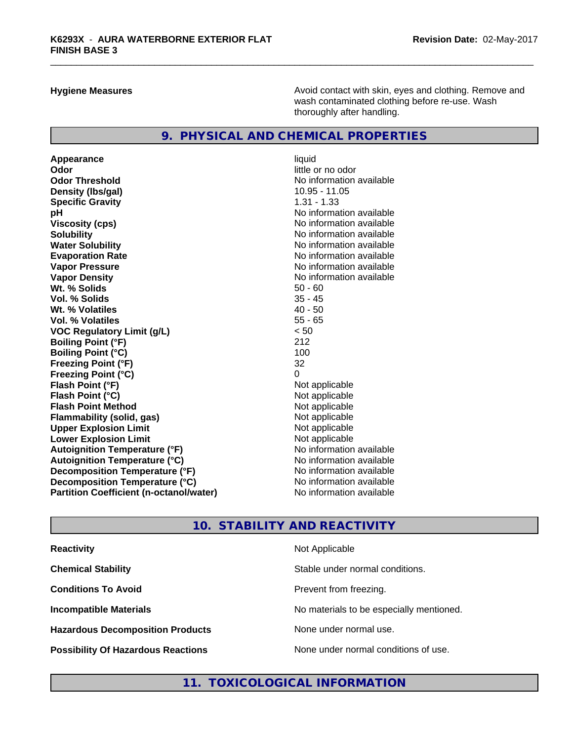**Hygiene Measures Avoid contact with skin, eyes and clothing. Remove and Avoid contact with skin, eyes and clothing. Remove and Avoid contact with skin, eyes and clothing. Remove and** wash contaminated clothing before re-use. Wash thoroughly after handling.

## **9. PHYSICAL AND CHEMICAL PROPERTIES**

Appearance liquid **Odor** little or no odor **Odor Threshold** No information available **Density (Ibs/gal)** 10.95 - 11.05<br> **Specific Gravity** 1.31 - 1.33 **Specific Gravity pH pH**  $\blacksquare$ **Viscosity (cps)** No information available **Solubility No information available No information available Water Solubility No information available No information available Evaporation Rate No information available No information available Vapor Pressure**<br> **Vapor Density**<br> **Vapor Density**<br> **Vapor Density**<br> **Vapor Algebra Algebra Algebra Algebra Algebra Algebra Algebra Algebra Algebra Algebra Algebra Algebra Algebra Algebra Algebra Algebra Algebra Algebra Al Wt. % Solids** 50 - 60<br> **Vol. % Solids** 35 - 45 **Vol. % Solids** 35 - 45 **Wt. % Volatiles** 40 - 50<br> **Vol. % Volatiles** 55 - 65 **Vol. % Volatiles VOC Regulatory Limit (g/L)** < 50 **Boiling Point (°F)** 212 **Boiling Point (°C)** 100 **Freezing Point (°F)** 32 **Freezing Point (°C)** 0 **Flash Point (°F)** Not applicable **Flash Point (°C)**<br> **Flash Point Method**<br> **Flash Point Method**<br> **CO Flash Point Method Flammability (solid, gas)** Not applicable **Upper Explosion Limit**<br> **Lower Explosion Limit**<br> **Lower Explosion Limit Lower Explosion Limit**<br> **Autoignition Temperature (°F)**<br> **Autoignition Temperature (°F)**<br> **Autoignition Temperature (°F) Autoignition Temperature (°F) Autoignition Temperature (°C)** No information available **Decomposition Temperature (°F)** No information available **Decomposition Temperature (°C)** No information available **Partition Coefficient (n-octanol/water)** No information available

**No information available** 

## **10. STABILITY AND REACTIVITY**

| <b>Reactivity</b>                         | Not Applicable                           |
|-------------------------------------------|------------------------------------------|
| <b>Chemical Stability</b>                 | Stable under normal conditions.          |
| <b>Conditions To Avoid</b>                | Prevent from freezing.                   |
| <b>Incompatible Materials</b>             | No materials to be especially mentioned. |
| <b>Hazardous Decomposition Products</b>   | None under normal use.                   |
| <b>Possibility Of Hazardous Reactions</b> | None under normal conditions of use.     |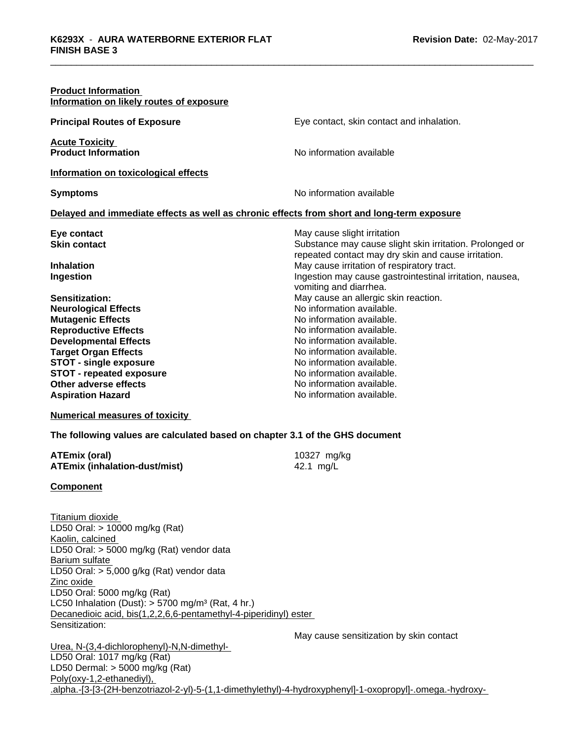| <b>Product Information</b><br>Information on likely routes of exposure |                                                                                            |
|------------------------------------------------------------------------|--------------------------------------------------------------------------------------------|
| <b>Principal Routes of Exposure</b>                                    | Eye contact, skin contact and inhalation.                                                  |
| <b>Acute Toxicity</b><br><b>Product Information</b>                    | No information available                                                                   |
| Information on toxicological effects                                   |                                                                                            |
| <b>Symptoms</b>                                                        | No information available                                                                   |
|                                                                        | Delayed and immediate effects as well as chronic effects from short and long-term exposure |
|                                                                        |                                                                                            |
| Eye contact<br><b>Skin contact</b>                                     | May cause slight irritation<br>Substance may cause slight skin irritation. Prolonged or    |
|                                                                        | repeated contact may dry skin and cause irritation.                                        |
| <b>Inhalation</b>                                                      | May cause irritation of respiratory tract.                                                 |
| Ingestion                                                              | Ingestion may cause gastrointestinal irritation, nausea,                                   |
|                                                                        | vomiting and diarrhea.                                                                     |
| Sensitization:                                                         | May cause an allergic skin reaction.                                                       |
| <b>Neurological Effects</b>                                            | No information available.                                                                  |
| <b>Mutagenic Effects</b>                                               | No information available.                                                                  |
| <b>Reproductive Effects</b>                                            | No information available.                                                                  |
| <b>Developmental Effects</b>                                           | No information available.                                                                  |
| <b>Target Organ Effects</b>                                            | No information available.                                                                  |
| <b>STOT - single exposure</b>                                          | No information available.                                                                  |
| <b>STOT - repeated exposure</b>                                        | No information available.                                                                  |
| <b>Other adverse effects</b>                                           | No information available.                                                                  |
| <b>Aspiration Hazard</b>                                               | No information available.                                                                  |
|                                                                        |                                                                                            |

## **Numerical measures of toxicity**

#### **The following values are calculated based on chapter 3.1 of the GHS document**

| ATEmix (oral)                        | 10327 mg/kg |
|--------------------------------------|-------------|
| <b>ATEmix (inhalation-dust/mist)</b> | 42.1 mg/L   |

#### **Component**

Titanium dioxide LD50 Oral: > 10000 mg/kg (Rat) Kaolin, calcined LD50 Oral: > 5000 mg/kg (Rat) vendor data Barium sulfate LD50 Oral: > 5,000 g/kg (Rat) vendor data Zinc oxide LD50 Oral: 5000 mg/kg (Rat) LC50 Inhalation (Dust):  $> 5700$  mg/m<sup>3</sup> (Rat, 4 hr.) Decanedioic acid, bis(1,2,2,6,6-pentamethyl-4-piperidinyl) ester Sensitization:

May cause sensitization by skin contact

Urea, N-(3,4-dichlorophenyl)-N,N-dimethyl- LD50 Oral: 1017 mg/kg (Rat) LD50 Dermal: > 5000 mg/kg (Rat) Poly(oxy-1,2-ethanediyl), .alpha.-[3-[3-(2H-benzotriazol-2-yl)-5-(1,1-dimethylethyl)-4-hydroxyphenyl]-1-oxopropyl]-.omega.-hydroxy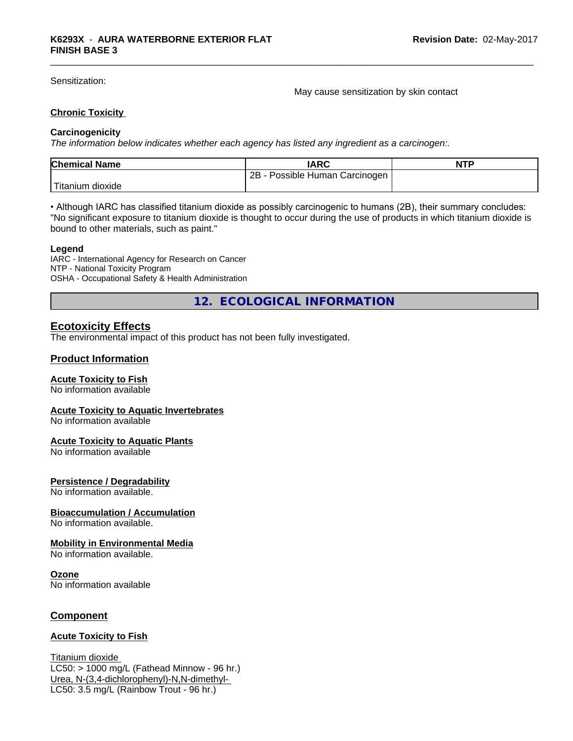Sensitization:

May cause sensitization by skin contact

## **Chronic Toxicity**

## **Carcinogenicity**

*The information below indicateswhether each agency has listed any ingredient as a carcinogen:.*

| <b>Chemical Name</b>    | <b>IARC</b>                     | <b>NTP</b> |
|-------------------------|---------------------------------|------------|
|                         | 2B<br>Possible Human Carcinogen |            |
| Titanium J<br>, dioxide |                                 |            |

• Although IARC has classified titanium dioxide as possibly carcinogenic to humans (2B), their summary concludes: "No significant exposure to titanium dioxide is thought to occur during the use of products in which titanium dioxide is bound to other materials, such as paint."

#### **Legend**

IARC - International Agency for Research on Cancer NTP - National Toxicity Program OSHA - Occupational Safety & Health Administration

**12. ECOLOGICAL INFORMATION**

## **Ecotoxicity Effects**

The environmental impact of this product has not been fully investigated.

## **Product Information**

## **Acute Toxicity to Fish**

No information available

#### **Acute Toxicity to Aquatic Invertebrates**

No information available

#### **Acute Toxicity to Aquatic Plants**

No information available

## **Persistence / Degradability**

No information available.

#### **Bioaccumulation / Accumulation**

No information available.

## **Mobility in Environmental Media**

No information available.

#### **Ozone**

No information available

## **Component**

## **Acute Toxicity to Fish**

Titanium dioxide  $LC50:$  > 1000 mg/L (Fathead Minnow - 96 hr.) Urea, N-(3,4-dichlorophenyl)-N,N-dimethyl- LC50: 3.5 mg/L (Rainbow Trout - 96 hr.)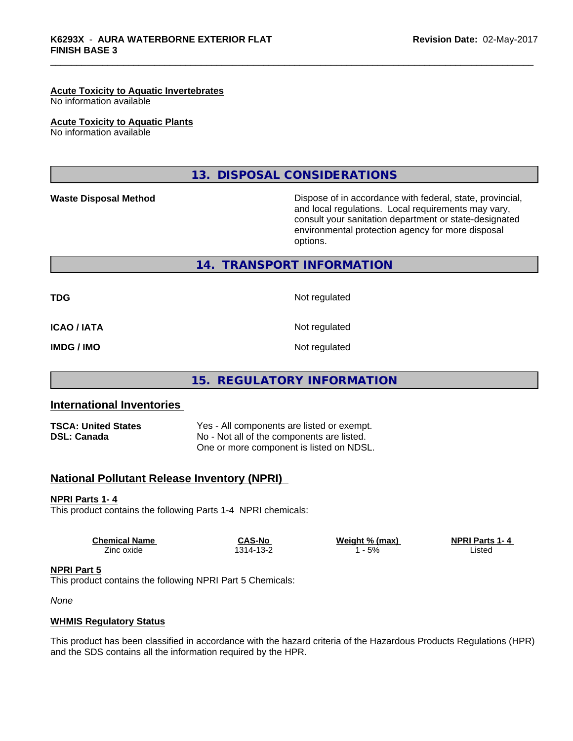#### **Acute Toxicity to Aquatic Invertebrates**

No information available

#### **Acute Toxicity to Aquatic Plants**

No information available

## **13. DISPOSAL CONSIDERATIONS**

**Waste Disposal Method Dispose of in accordance with federal, state, provincial,** and local regulations. Local requirements may vary, consult your sanitation department or state-designated environmental protection agency for more disposal options.

**14. TRANSPORT INFORMATION**

**TDG** Not regulated

**ICAO / IATA** Not regulated

**IMDG / IMO** Not regulated

## **15. REGULATORY INFORMATION**

## **International Inventories**

**TSCA: United States** Yes - All components are listed or exempt. **DSL: Canada** No - Not all of the components are listed. One or more component is listed on NDSL.

## **National Pollutant Release Inventory (NPRI)**

#### **NPRI Parts 1- 4**

This product contains the following Parts 1-4 NPRI chemicals:

| <b>Chemical Name</b> | <b>CAS-No</b>                    | Weight % (max) | <b>NPRI Parts 1-4</b> |  |
|----------------------|----------------------------------|----------------|-----------------------|--|
| Zinc oxide           | $\sqrt{2}$<br>$314 -$<br>″ −دی ا | 5%             | ∟isted                |  |

#### **NPRI Part 5**

This product contains the following NPRI Part 5 Chemicals:

*None*

#### **WHMIS Regulatory Status**

This product has been classified in accordance with the hazard criteria of the Hazardous Products Regulations (HPR) and the SDS contains all the information required by the HPR.